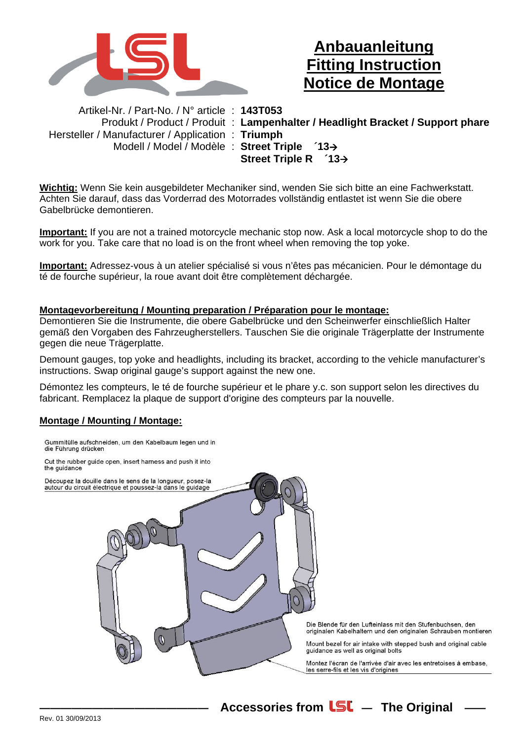

## **Anbauanleitung Fitting Instruction Notice de Montage**

Artikel-Nr. / Part-No. / N° article : **143T053**  Hersteller / Manufacturer / Application : **Triumph**  Modell / Model / Modèle : **Street Triple ´13**

Produkt / Product / Produit : **Lampenhalter / Headlight Bracket / Support phare Street Triple R ´13**

**Wichtig:** Wenn Sie kein ausgebildeter Mechaniker sind, wenden Sie sich bitte an eine Fachwerkstatt. Achten Sie darauf, dass das Vorderrad des Motorrades vollständig entlastet ist wenn Sie die obere Gabelbrücke demontieren.

**Important:** If you are not a trained motorcycle mechanic stop now. Ask a local motorcycle shop to do the work for you. Take care that no load is on the front wheel when removing the top yoke.

**Important:** Adressez-vous à un atelier spécialisé si vous n'êtes pas mécanicien. Pour le démontage du té de fourche supérieur, la roue avant doit être complètement déchargée.

## **Montagevorbereitung / Mounting preparation / Préparation pour le montage:**

Demontieren Sie die Instrumente, die obere Gabelbrücke und den Scheinwerfer einschließlich Halter gemäß den Vorgaben des Fahrzeugherstellers. Tauschen Sie die originale Trägerplatte der Instrumente gegen die neue Trägerplatte.

Demount gauges, top yoke and headlights, including its bracket, according to the vehicle manufacturer's instructions. Swap original gauge's support against the new one.

Démontez les compteurs, le té de fourche supérieur et le phare y.c. son support selon les directives du fabricant. Remplacez la plaque de support d'origine des compteurs par la nouvelle.

## **Montage / Mounting / Montage:**



Accessories from **LSL** - The Original